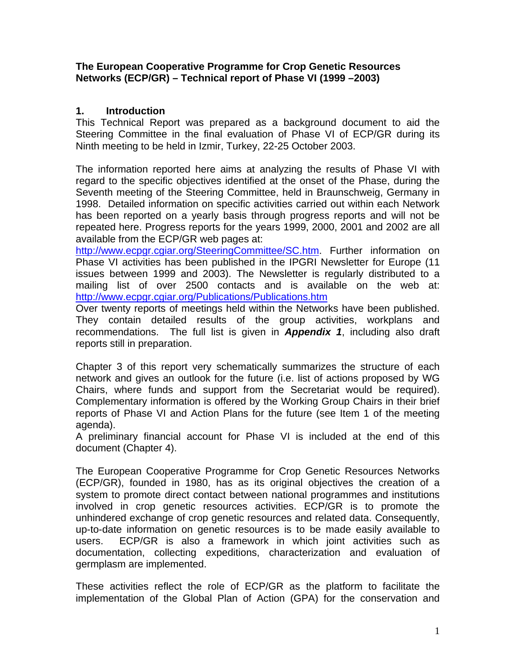## **The European Cooperative Programme for Crop Genetic Resources Networks (ECP/GR) – Technical report of Phase VI (1999 –2003)**

# **1. Introduction**

This Technical Report was prepared as a background document to aid the Steering Committee in the final evaluation of Phase VI of ECP/GR during its Ninth meeting to be held in Izmir, Turkey, 22-25 October 2003.

The information reported here aims at analyzing the results of Phase VI with regard to the specific objectives identified at the onset of the Phase, during the Seventh meeting of the Steering Committee, held in Braunschweig, Germany in 1998. Detailed information on specific activities carried out within each Network has been reported on a yearly basis through progress reports and will not be repeated here. Progress reports for the years 1999, 2000, 2001 and 2002 are all available from the ECP/GR web pages at:

http://www.ecpgr.cgiar.org/SteeringCommittee/SC.htm. Further information on Phase VI activities has been published in the IPGRI Newsletter for Europe (11 issues between 1999 and 2003). The Newsletter is regularly distributed to a mailing list of over 2500 contacts and is available on the web at: http://www.ecpgr.cgiar.org/Publications/Publications.htm

Over twenty reports of meetings held within the Networks have been published. They contain detailed results of the group activities, workplans and recommendations. The full list is given in *Appendix 1*, including also draft reports still in preparation.

Chapter 3 of this report very schematically summarizes the structure of each network and gives an outlook for the future (i.e. list of actions proposed by WG Chairs, where funds and support from the Secretariat would be required). Complementary information is offered by the Working Group Chairs in their brief reports of Phase VI and Action Plans for the future (see Item 1 of the meeting agenda).

A preliminary financial account for Phase VI is included at the end of this document (Chapter 4).

The European Cooperative Programme for Crop Genetic Resources Networks (ECP/GR), founded in 1980, has as its original objectives the creation of a system to promote direct contact between national programmes and institutions involved in crop genetic resources activities. ECP/GR is to promote the unhindered exchange of crop genetic resources and related data. Consequently, up-to-date information on genetic resources is to be made easily available to users. ECP/GR is also a framework in which joint activities such as documentation, collecting expeditions, characterization and evaluation of germplasm are implemented.

These activities reflect the role of ECP/GR as the platform to facilitate the implementation of the Global Plan of Action (GPA) for the conservation and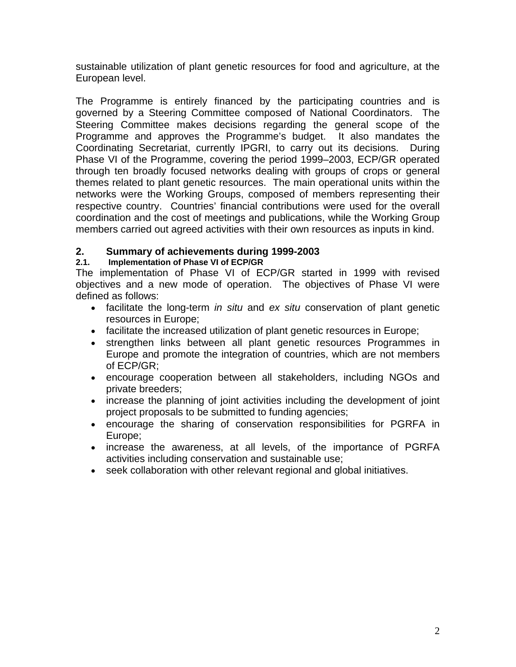sustainable utilization of plant genetic resources for food and agriculture, at the European level.

The Programme is entirely financed by the participating countries and is governed by a Steering Committee composed of National Coordinators. The Steering Committee makes decisions regarding the general scope of the Programme and approves the Programme's budget. It also mandates the Coordinating Secretariat, currently IPGRI, to carry out its decisions. During Phase VI of the Programme, covering the period 1999–2003, ECP/GR operated through ten broadly focused networks dealing with groups of crops or general themes related to plant genetic resources. The main operational units within the networks were the Working Groups, composed of members representing their respective country. Countries' financial contributions were used for the overall coordination and the cost of meetings and publications, while the Working Group members carried out agreed activities with their own resources as inputs in kind.

# **2. Summary of achievements during 1999-2003**

# **2.1. Implementation of Phase VI of ECP/GR**

The implementation of Phase VI of ECP/GR started in 1999 with revised objectives and a new mode of operation. The objectives of Phase VI were defined as follows:

- facilitate the long-term *in situ* and *ex situ* conservation of plant genetic resources in Europe;
- facilitate the increased utilization of plant genetic resources in Europe;
- strengthen links between all plant genetic resources Programmes in Europe and promote the integration of countries, which are not members of ECP/GR;
- encourage cooperation between all stakeholders, including NGOs and private breeders;
- increase the planning of joint activities including the development of joint project proposals to be submitted to funding agencies;
- encourage the sharing of conservation responsibilities for PGRFA in Europe;
- increase the awareness, at all levels, of the importance of PGRFA activities including conservation and sustainable use;
- seek collaboration with other relevant regional and global initiatives.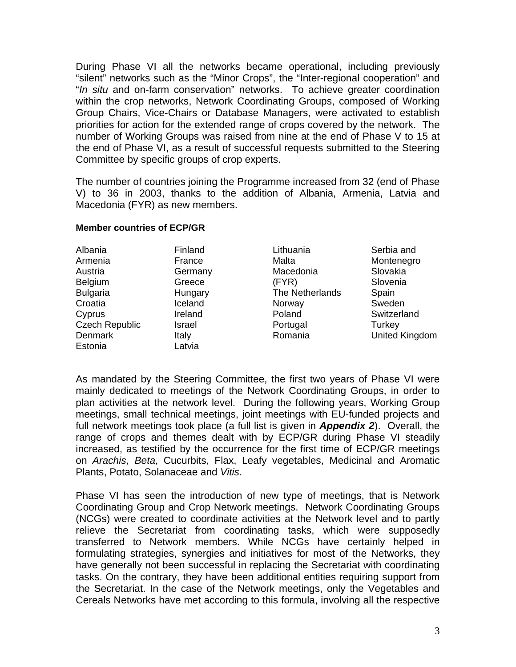During Phase VI all the networks became operational, including previously "silent" networks such as the "Minor Crops", the "Inter-regional cooperation" and "*In situ* and on-farm conservation" networks. To achieve greater coordination within the crop networks, Network Coordinating Groups, composed of Working Group Chairs, Vice-Chairs or Database Managers, were activated to establish priorities for action for the extended range of crops covered by the network. The number of Working Groups was raised from nine at the end of Phase V to 15 at the end of Phase VI, as a result of successful requests submitted to the Steering Committee by specific groups of crop experts.

The number of countries joining the Programme increased from 32 (end of Phase V) to 36 in 2003, thanks to the addition of Albania, Armenia, Latvia and Macedonia (FYR) as new members.

### **Member countries of ECP/GR**

| Finland |
|---------|
|         |
| France  |
| Germany |
| Greece  |
| Hungary |
| Iceland |
| Ireland |
| Israel  |
| Italy   |
| Latvia  |
|         |

Lithuania Malta Macedonia (FYR) The Netherlands Norway Poland Portugal Romania

Serbia and **Montenegro** Slovakia Slovenia Spain Sweden **Switzerland Turkey** United Kingdom

As mandated by the Steering Committee, the first two years of Phase VI were mainly dedicated to meetings of the Network Coordinating Groups, in order to plan activities at the network level. During the following years, Working Group meetings, small technical meetings, joint meetings with EU-funded projects and full network meetings took place (a full list is given in *Appendix 2*). Overall, the range of crops and themes dealt with by ECP/GR during Phase VI steadily increased, as testified by the occurrence for the first time of ECP/GR meetings on *Arachis*, *Beta*, Cucurbits, Flax, Leafy vegetables, Medicinal and Aromatic Plants, Potato, Solanaceae and *Vitis*.

Phase VI has seen the introduction of new type of meetings, that is Network Coordinating Group and Crop Network meetings. Network Coordinating Groups (NCGs) were created to coordinate activities at the Network level and to partly relieve the Secretariat from coordinating tasks, which were supposedly transferred to Network members. While NCGs have certainly helped in formulating strategies, synergies and initiatives for most of the Networks, they have generally not been successful in replacing the Secretariat with coordinating tasks. On the contrary, they have been additional entities requiring support from the Secretariat. In the case of the Network meetings, only the Vegetables and Cereals Networks have met according to this formula, involving all the respective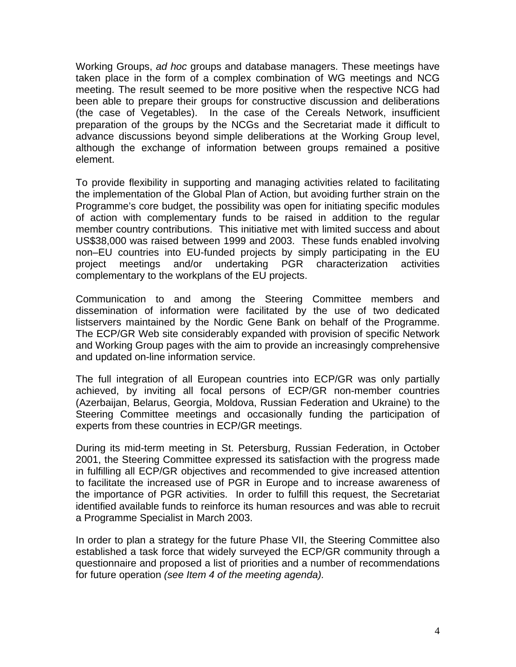Working Groups, *ad hoc* groups and database managers. These meetings have taken place in the form of a complex combination of WG meetings and NCG meeting. The result seemed to be more positive when the respective NCG had been able to prepare their groups for constructive discussion and deliberations (the case of Vegetables). In the case of the Cereals Network, insufficient preparation of the groups by the NCGs and the Secretariat made it difficult to advance discussions beyond simple deliberations at the Working Group level, although the exchange of information between groups remained a positive element.

To provide flexibility in supporting and managing activities related to facilitating the implementation of the Global Plan of Action, but avoiding further strain on the Programme's core budget, the possibility was open for initiating specific modules of action with complementary funds to be raised in addition to the regular member country contributions. This initiative met with limited success and about US\$38,000 was raised between 1999 and 2003. These funds enabled involving non–EU countries into EU-funded projects by simply participating in the EU project meetings and/or undertaking PGR characterization activities complementary to the workplans of the EU projects.

Communication to and among the Steering Committee members and dissemination of information were facilitated by the use of two dedicated listservers maintained by the Nordic Gene Bank on behalf of the Programme. The ECP/GR Web site considerably expanded with provision of specific Network and Working Group pages with the aim to provide an increasingly comprehensive and updated on-line information service.

The full integration of all European countries into ECP/GR was only partially achieved, by inviting all focal persons of ECP/GR non-member countries (Azerbaijan, Belarus, Georgia, Moldova, Russian Federation and Ukraine) to the Steering Committee meetings and occasionally funding the participation of experts from these countries in ECP/GR meetings.

During its mid-term meeting in St. Petersburg, Russian Federation, in October 2001, the Steering Committee expressed its satisfaction with the progress made in fulfilling all ECP/GR objectives and recommended to give increased attention to facilitate the increased use of PGR in Europe and to increase awareness of the importance of PGR activities. In order to fulfill this request, the Secretariat identified available funds to reinforce its human resources and was able to recruit a Programme Specialist in March 2003.

In order to plan a strategy for the future Phase VII, the Steering Committee also established a task force that widely surveyed the ECP/GR community through a questionnaire and proposed a list of priorities and a number of recommendations for future operation *(see Item 4 of the meeting agenda).*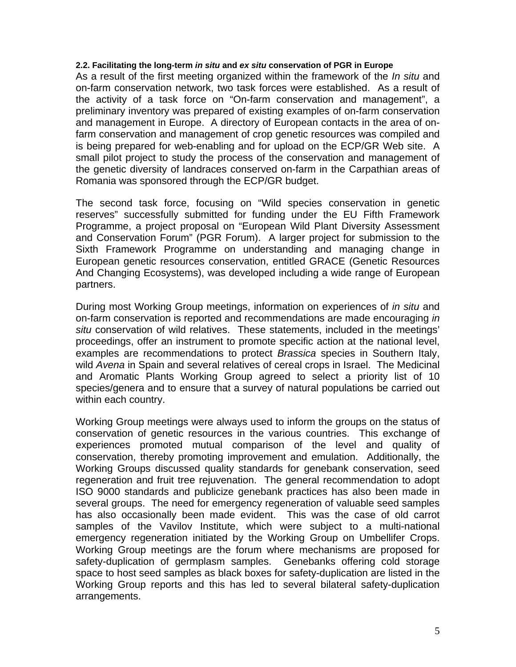#### **2.2. Facilitating the long-term** *in situ* **and** *ex situ* **conservation of PGR in Europe**

As a result of the first meeting organized within the framework of the *In situ* and on-farm conservation network, two task forces were established. As a result of the activity of a task force on "On-farm conservation and management", a preliminary inventory was prepared of existing examples of on-farm conservation and management in Europe. A directory of European contacts in the area of onfarm conservation and management of crop genetic resources was compiled and is being prepared for web-enabling and for upload on the ECP/GR Web site. A small pilot project to study the process of the conservation and management of the genetic diversity of landraces conserved on-farm in the Carpathian areas of Romania was sponsored through the ECP/GR budget.

The second task force, focusing on "Wild species conservation in genetic reserves" successfully submitted for funding under the EU Fifth Framework Programme, a project proposal on "European Wild Plant Diversity Assessment and Conservation Forum" (PGR Forum). A larger project for submission to the Sixth Framework Programme on understanding and managing change in European genetic resources conservation, entitled GRACE (Genetic Resources And Changing Ecosystems), was developed including a wide range of European partners.

During most Working Group meetings, information on experiences of *in situ* and on-farm conservation is reported and recommendations are made encouraging *in situ* conservation of wild relatives. These statements, included in the meetings' proceedings, offer an instrument to promote specific action at the national level, examples are recommendations to protect *Brassica* species in Southern Italy, wild *Avena* in Spain and several relatives of cereal crops in Israel. The Medicinal and Aromatic Plants Working Group agreed to select a priority list of 10 species/genera and to ensure that a survey of natural populations be carried out within each country.

Working Group meetings were always used to inform the groups on the status of conservation of genetic resources in the various countries. This exchange of experiences promoted mutual comparison of the level and quality of conservation, thereby promoting improvement and emulation. Additionally, the Working Groups discussed quality standards for genebank conservation, seed regeneration and fruit tree rejuvenation. The general recommendation to adopt ISO 9000 standards and publicize genebank practices has also been made in several groups. The need for emergency regeneration of valuable seed samples has also occasionally been made evident. This was the case of old carrot samples of the Vavilov Institute, which were subject to a multi-national emergency regeneration initiated by the Working Group on Umbellifer Crops. Working Group meetings are the forum where mechanisms are proposed for safety-duplication of germplasm samples. Genebanks offering cold storage space to host seed samples as black boxes for safety-duplication are listed in the Working Group reports and this has led to several bilateral safety-duplication arrangements.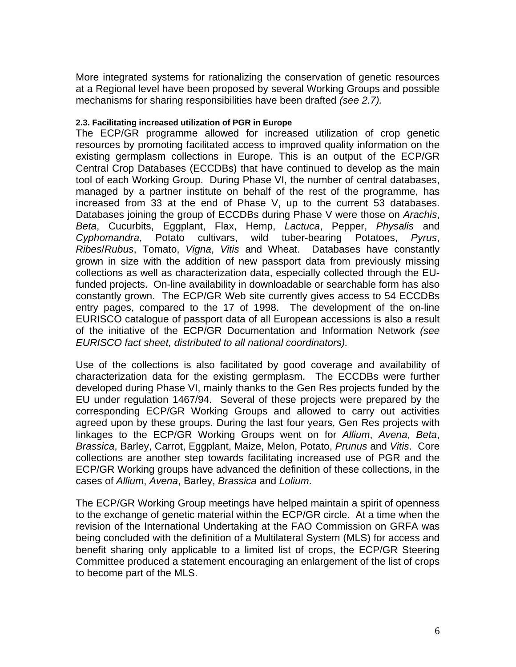More integrated systems for rationalizing the conservation of genetic resources at a Regional level have been proposed by several Working Groups and possible mechanisms for sharing responsibilities have been drafted *(see 2.7).* 

### **2.3. Facilitating increased utilization of PGR in Europe**

The ECP/GR programme allowed for increased utilization of crop genetic resources by promoting facilitated access to improved quality information on the existing germplasm collections in Europe. This is an output of the ECP/GR Central Crop Databases (ECCDBs) that have continued to develop as the main tool of each Working Group. During Phase VI, the number of central databases, managed by a partner institute on behalf of the rest of the programme, has increased from 33 at the end of Phase V, up to the current 53 databases. Databases joining the group of ECCDBs during Phase V were those on *Arachis*, *Beta*, Cucurbits, Eggplant, Flax, Hemp, *Lactuca*, Pepper, *Physalis* and *Cyphomandra*, Potato cultivars, wild tuber-bearing Potatoes, *Pyrus*, *Ribes*/*Rubus*, Tomato, *Vigna*, *Vitis* and Wheat. Databases have constantly grown in size with the addition of new passport data from previously missing collections as well as characterization data, especially collected through the EUfunded projects. On-line availability in downloadable or searchable form has also constantly grown. The ECP/GR Web site currently gives access to 54 ECCDBs entry pages, compared to the 17 of 1998. The development of the on-line EURISCO catalogue of passport data of all European accessions is also a result of the initiative of the ECP/GR Documentation and Information Network *(see EURISCO fact sheet, distributed to all national coordinators).*

Use of the collections is also facilitated by good coverage and availability of characterization data for the existing germplasm. The ECCDBs were further developed during Phase VI, mainly thanks to the Gen Res projects funded by the EU under regulation 1467/94. Several of these projects were prepared by the corresponding ECP/GR Working Groups and allowed to carry out activities agreed upon by these groups. During the last four years, Gen Res projects with linkages to the ECP/GR Working Groups went on for *Allium*, *Avena*, *Beta*, *Brassica*, Barley, Carrot, Eggplant, Maize, Melon, Potato, *Prunus* and *Vitis*. Core collections are another step towards facilitating increased use of PGR and the ECP/GR Working groups have advanced the definition of these collections, in the cases of *Allium*, *Avena*, Barley, *Brassica* and *Lolium*.

The ECP/GR Working Group meetings have helped maintain a spirit of openness to the exchange of genetic material within the ECP/GR circle. At a time when the revision of the International Undertaking at the FAO Commission on GRFA was being concluded with the definition of a Multilateral System (MLS) for access and benefit sharing only applicable to a limited list of crops, the ECP/GR Steering Committee produced a statement encouraging an enlargement of the list of crops to become part of the MLS.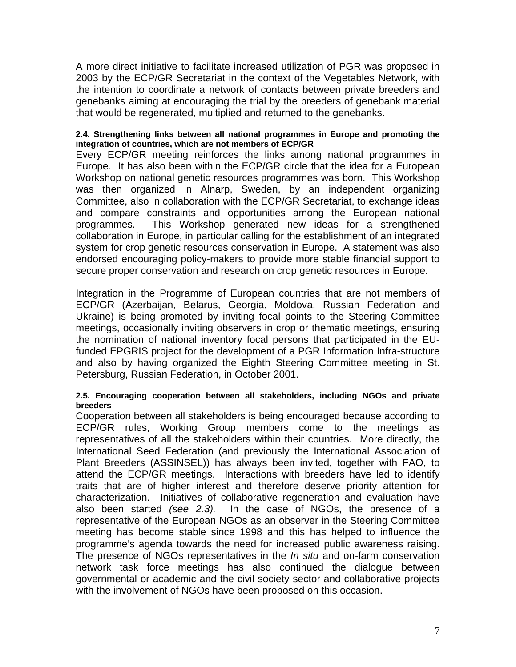A more direct initiative to facilitate increased utilization of PGR was proposed in 2003 by the ECP/GR Secretariat in the context of the Vegetables Network, with the intention to coordinate a network of contacts between private breeders and genebanks aiming at encouraging the trial by the breeders of genebank material that would be regenerated, multiplied and returned to the genebanks.

#### **2.4. Strengthening links between all national programmes in Europe and promoting the integration of countries, which are not members of ECP/GR**

Every ECP/GR meeting reinforces the links among national programmes in Europe. It has also been within the ECP/GR circle that the idea for a European Workshop on national genetic resources programmes was born. This Workshop was then organized in Alnarp, Sweden, by an independent organizing Committee, also in collaboration with the ECP/GR Secretariat, to exchange ideas and compare constraints and opportunities among the European national programmes. This Workshop generated new ideas for a strengthened collaboration in Europe, in particular calling for the establishment of an integrated system for crop genetic resources conservation in Europe. A statement was also endorsed encouraging policy-makers to provide more stable financial support to secure proper conservation and research on crop genetic resources in Europe.

Integration in the Programme of European countries that are not members of ECP/GR (Azerbaijan, Belarus, Georgia, Moldova, Russian Federation and Ukraine) is being promoted by inviting focal points to the Steering Committee meetings, occasionally inviting observers in crop or thematic meetings, ensuring the nomination of national inventory focal persons that participated in the EUfunded EPGRIS project for the development of a PGR Information Infra-structure and also by having organized the Eighth Steering Committee meeting in St. Petersburg, Russian Federation, in October 2001.

#### **2.5. Encouraging cooperation between all stakeholders, including NGOs and private breeders**

Cooperation between all stakeholders is being encouraged because according to ECP/GR rules, Working Group members come to the meetings as representatives of all the stakeholders within their countries. More directly, the International Seed Federation (and previously the International Association of Plant Breeders (ASSINSEL)) has always been invited, together with FAO, to attend the ECP/GR meetings. Interactions with breeders have led to identify traits that are of higher interest and therefore deserve priority attention for characterization. Initiatives of collaborative regeneration and evaluation have also been started *(see 2.3).* In the case of NGOs, the presence of a representative of the European NGOs as an observer in the Steering Committee meeting has become stable since 1998 and this has helped to influence the programme's agenda towards the need for increased public awareness raising. The presence of NGOs representatives in the *In situ* and on-farm conservation network task force meetings has also continued the dialogue between governmental or academic and the civil society sector and collaborative projects with the involvement of NGOs have been proposed on this occasion.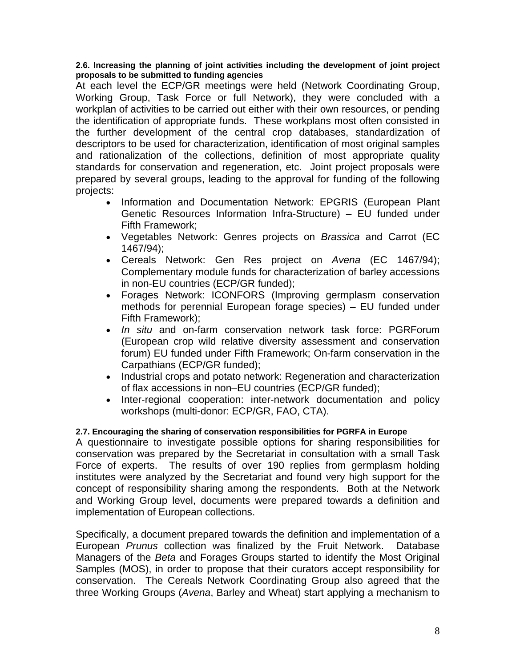#### **2.6. Increasing the planning of joint activities including the development of joint project proposals to be submitted to funding agencies**

At each level the ECP/GR meetings were held (Network Coordinating Group, Working Group, Task Force or full Network), they were concluded with a workplan of activities to be carried out either with their own resources, or pending the identification of appropriate funds. These workplans most often consisted in the further development of the central crop databases, standardization of descriptors to be used for characterization, identification of most original samples and rationalization of the collections, definition of most appropriate quality standards for conservation and regeneration, etc. Joint project proposals were prepared by several groups, leading to the approval for funding of the following projects:

- Information and Documentation Network: EPGRIS (European Plant Genetic Resources Information Infra-Structure) – EU funded under Fifth Framework;
- Vegetables Network: Genres projects on *Brassica* and Carrot (EC 1467/94);
- Cereals Network: Gen Res project on *Avena* (EC 1467/94); Complementary module funds for characterization of barley accessions in non-EU countries (ECP/GR funded);
- Forages Network: ICONFORS (Improving germplasm conservation methods for perennial European forage species) – EU funded under Fifth Framework);
- *In situ* and on-farm conservation network task force: PGRForum (European crop wild relative diversity assessment and conservation forum) EU funded under Fifth Framework; On-farm conservation in the Carpathians (ECP/GR funded);
- Industrial crops and potato network: Regeneration and characterization of flax accessions in non–EU countries (ECP/GR funded);
- Inter-regional cooperation: inter-network documentation and policy workshops (multi-donor: ECP/GR, FAO, CTA).

## **2.7. Encouraging the sharing of conservation responsibilities for PGRFA in Europe**

A questionnaire to investigate possible options for sharing responsibilities for conservation was prepared by the Secretariat in consultation with a small Task Force of experts. The results of over 190 replies from germplasm holding institutes were analyzed by the Secretariat and found very high support for the concept of responsibility sharing among the respondents. Both at the Network and Working Group level, documents were prepared towards a definition and implementation of European collections.

Specifically, a document prepared towards the definition and implementation of a European *Prunus* collection was finalized by the Fruit Network. Database Managers of the *Beta* and Forages Groups started to identify the Most Original Samples (MOS), in order to propose that their curators accept responsibility for conservation. The Cereals Network Coordinating Group also agreed that the three Working Groups (*Avena*, Barley and Wheat) start applying a mechanism to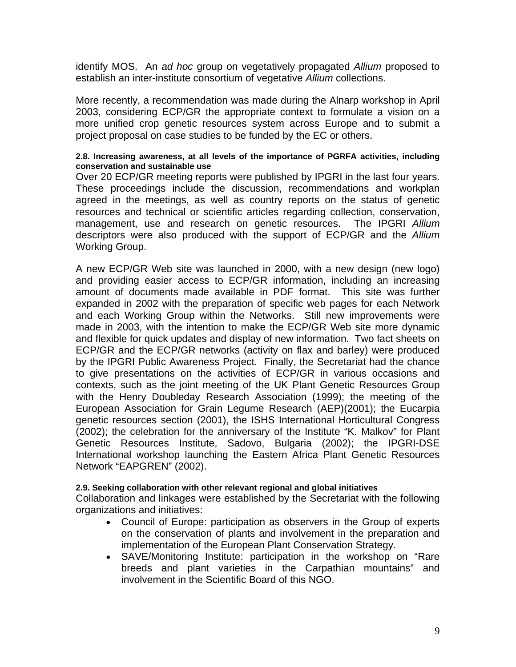identify MOS. An *ad hoc* group on vegetatively propagated *Allium* proposed to establish an inter-institute consortium of vegetative *Allium* collections.

More recently, a recommendation was made during the Alnarp workshop in April 2003, considering ECP/GR the appropriate context to formulate a vision on a more unified crop genetic resources system across Europe and to submit a project proposal on case studies to be funded by the EC or others.

### **2.8. Increasing awareness, at all levels of the importance of PGRFA activities, including conservation and sustainable use**

Over 20 ECP/GR meeting reports were published by IPGRI in the last four years. These proceedings include the discussion, recommendations and workplan agreed in the meetings, as well as country reports on the status of genetic resources and technical or scientific articles regarding collection, conservation, management, use and research on genetic resources. The IPGRI *Allium* descriptors were also produced with the support of ECP/GR and the *Allium* Working Group.

A new ECP/GR Web site was launched in 2000, with a new design (new logo) and providing easier access to ECP/GR information, including an increasing amount of documents made available in PDF format. This site was further expanded in 2002 with the preparation of specific web pages for each Network and each Working Group within the Networks. Still new improvements were made in 2003, with the intention to make the ECP/GR Web site more dynamic and flexible for quick updates and display of new information. Two fact sheets on ECP/GR and the ECP/GR networks (activity on flax and barley) were produced by the IPGRI Public Awareness Project. Finally, the Secretariat had the chance to give presentations on the activities of ECP/GR in various occasions and contexts, such as the joint meeting of the UK Plant Genetic Resources Group with the Henry Doubleday Research Association (1999); the meeting of the European Association for Grain Legume Research (AEP)(2001); the Eucarpia genetic resources section (2001), the ISHS International Horticultural Congress (2002); the celebration for the anniversary of the Institute "K. Malkov" for Plant Genetic Resources Institute, Sadovo, Bulgaria (2002); the IPGRI-DSE International workshop launching the Eastern Africa Plant Genetic Resources Network "EAPGREN" (2002).

#### **2.9. Seeking collaboration with other relevant regional and global initiatives**

Collaboration and linkages were established by the Secretariat with the following organizations and initiatives:

- Council of Europe: participation as observers in the Group of experts on the conservation of plants and involvement in the preparation and implementation of the European Plant Conservation Strategy.
- SAVE/Monitoring Institute: participation in the workshop on "Rare breeds and plant varieties in the Carpathian mountains" and involvement in the Scientific Board of this NGO.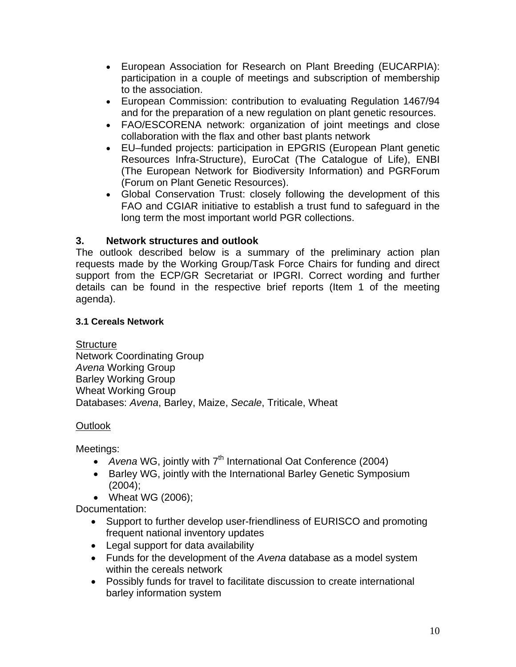- European Association for Research on Plant Breeding (EUCARPIA): participation in a couple of meetings and subscription of membership to the association.
- European Commission: contribution to evaluating Regulation 1467/94 and for the preparation of a new regulation on plant genetic resources.
- FAO/ESCORENA network: organization of joint meetings and close collaboration with the flax and other bast plants network
- EU–funded projects: participation in EPGRIS (European Plant genetic Resources Infra-Structure), EuroCat (The Catalogue of Life), ENBI (The European Network for Biodiversity Information) and PGRForum (Forum on Plant Genetic Resources).
- Global Conservation Trust: closely following the development of this FAO and CGIAR initiative to establish a trust fund to safeguard in the long term the most important world PGR collections.

# **3. Network structures and outlook**

The outlook described below is a summary of the preliminary action plan requests made by the Working Group/Task Force Chairs for funding and direct support from the ECP/GR Secretariat or IPGRI. Correct wording and further details can be found in the respective brief reports (Item 1 of the meeting agenda).

# **3.1 Cereals Network**

# **Structure**

Network Coordinating Group *Avena* Working Group Barley Working Group Wheat Working Group Databases: *Avena*, Barley, Maize, *Secale*, Triticale, Wheat

# Outlook

Meetings:

- *Avena* WG, jointly with 7<sup>th</sup> International Oat Conference (2004)
- Barley WG, jointly with the International Barley Genetic Symposium (2004);
- Wheat WG (2006);

Documentation:

- Support to further develop user-friendliness of EURISCO and promoting frequent national inventory updates
- Legal support for data availability
- Funds for the development of the *Avena* database as a model system within the cereals network
- Possibly funds for travel to facilitate discussion to create international barley information system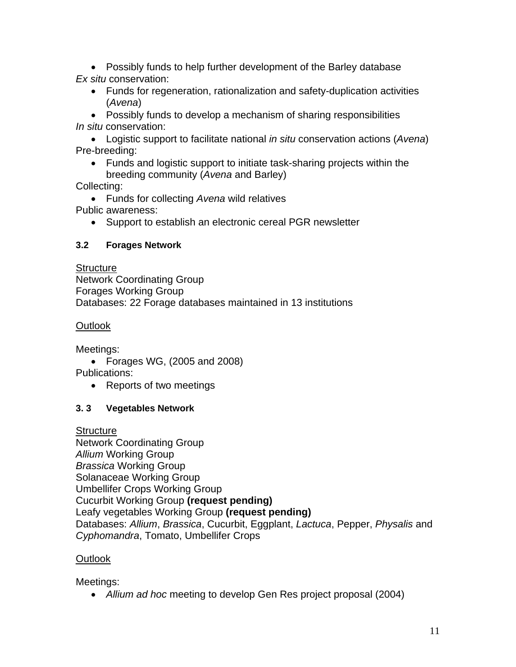• Possibly funds to help further development of the Barley database *Ex situ* conservation:

• Funds for regeneration, rationalization and safety-duplication activities (*Avena*)

• Possibly funds to develop a mechanism of sharing responsibilities *In situ* conservation:

• Logistic support to facilitate national *in situ* conservation actions (*Avena*) Pre-breeding:

• Funds and logistic support to initiate task-sharing projects within the breeding community (*Avena* and Barley)

Collecting:

• Funds for collecting *Avena* wild relatives Public awareness:

• Support to establish an electronic cereal PGR newsletter

# **3.2 Forages Network**

**Structure** Network Coordinating Group Forages Working Group Databases: 22 Forage databases maintained in 13 institutions

Outlook

Meetings:

• Forages WG, (2005 and 2008)

Publications:

• Reports of two meetings

# **3. 3 Vegetables Network**

**Structure** Network Coordinating Group *Allium* Working Group *Brassica* Working Group Solanaceae Working Group Umbellifer Crops Working Group Cucurbit Working Group **(request pending)** Leafy vegetables Working Group **(request pending)**  Databases: *Allium*, *Brassica*, Cucurbit, Eggplant, *Lactuca*, Pepper, *Physalis* and *Cyphomandra*, Tomato, Umbellifer Crops

# **Outlook**

Meetings:

• *Allium ad hoc* meeting to develop Gen Res project proposal (2004)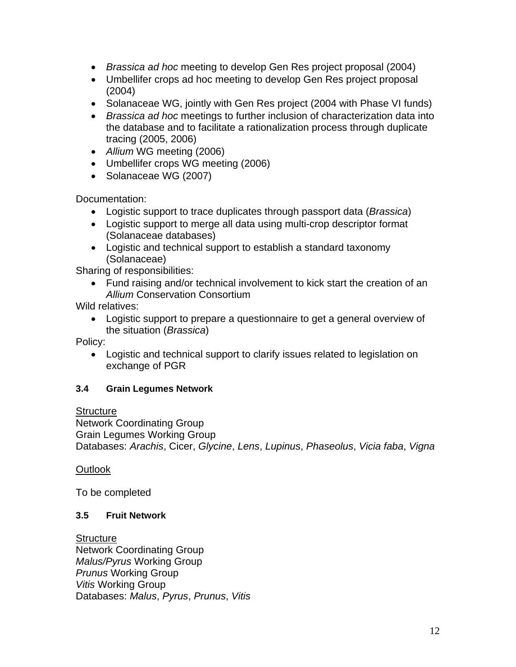- *Brassica ad hoc* meeting to develop Gen Res project proposal (2004)
- Umbellifer crops ad hoc meeting to develop Gen Res project proposal (2004)
- Solanaceae WG, jointly with Gen Res project (2004 with Phase VI funds)
- *Brassica ad hoc* meetings to further inclusion of characterization data into the database and to facilitate a rationalization process through duplicate tracing (2005, 2006)
- *Allium* WG meeting (2006)
- Umbellifer crops WG meeting (2006)
- Solanaceae WG (2007)

Documentation:

- Logistic support to trace duplicates through passport data (*Brassica*)
- Logistic support to merge all data using multi-crop descriptor format (Solanaceae databases)
- Logistic and technical support to establish a standard taxonomy (Solanaceae)

Sharing of responsibilities:

• Fund raising and/or technical involvement to kick start the creation of an *Allium* Conservation Consortium

Wild relatives:

• Logistic support to prepare a questionnaire to get a general overview of the situation (*Brassica*)

Policy:

• Logistic and technical support to clarify issues related to legislation on exchange of PGR

## **3.4 Grain Legumes Network**

**Structure** 

Network Coordinating Group Grain Legumes Working Group Databases: *Arachis*, Cicer, *Glycine*, *Lens*, *Lupinus*, *Phaseolus*, *Vicia faba*, *Vigna*

**Outlook** 

To be completed

## **3.5 Fruit Network**

**Structure** Network Coordinating Group *Malus/Pyrus* Working Group *Prunus* Working Group *Vitis* Working Group Databases: *Malus*, *Pyrus*, *Prunus*, *Vitis*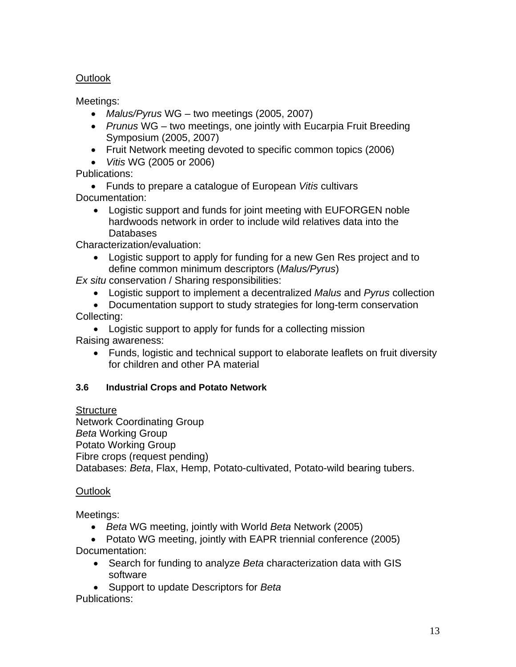# **Outlook**

Meetings:

- *Malus/Pyrus* WG two meetings (2005, 2007)
- *Prunus* WG two meetings, one jointly with Eucarpia Fruit Breeding Symposium (2005, 2007)
- Fruit Network meeting devoted to specific common topics (2006)
- *Vitis* WG (2005 or 2006)

Publications:

• Funds to prepare a catalogue of European *Vitis* cultivars Documentation:

• Logistic support and funds for joint meeting with EUFORGEN noble hardwoods network in order to include wild relatives data into the Databases

Characterization/evaluation:

• Logistic support to apply for funding for a new Gen Res project and to define common minimum descriptors (*Malus/Pyrus*)

*Ex situ* conservation / Sharing responsibilities:

- Logistic support to implement a decentralized *Malus* and *Pyrus* collection
- Documentation support to study strategies for long-term conservation Collecting:

• Logistic support to apply for funds for a collecting mission Raising awareness:

• Funds, logistic and technical support to elaborate leaflets on fruit diversity for children and other PA material

# **3.6 Industrial Crops and Potato Network**

**Structure** 

Network Coordinating Group *Beta* Working Group Potato Working Group Fibre crops (request pending) Databases: *Beta*, Flax, Hemp, Potato-cultivated, Potato-wild bearing tubers.

# **Outlook**

Meetings:

- *Beta* WG meeting, jointly with World *Beta* Network (2005)
- Potato WG meeting, jointly with EAPR triennial conference (2005) Documentation:
	- Search for funding to analyze *Beta* characterization data with GIS software
	- Support to update Descriptors for *Beta*

Publications: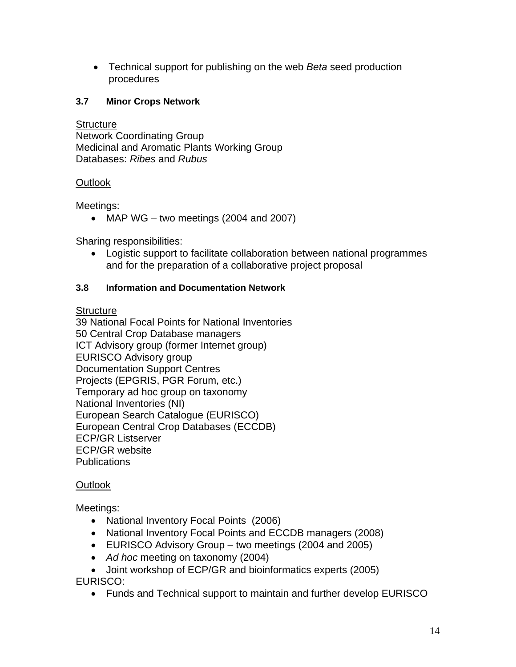• Technical support for publishing on the web *Beta* seed production procedures

# **3.7 Minor Crops Network**

## **Structure**

Network Coordinating Group Medicinal and Aromatic Plants Working Group Databases: *Ribes* and *Rubus*

# **Outlook**

Meetings:

• MAP WG – two meetings (2004 and 2007)

Sharing responsibilities:

• Logistic support to facilitate collaboration between national programmes and for the preparation of a collaborative project proposal

# **3.8 Information and Documentation Network**

**Structure** 

39 National Focal Points for National Inventories 50 Central Crop Database managers ICT Advisory group (former Internet group) EURISCO Advisory group Documentation Support Centres Projects (EPGRIS, PGR Forum, etc.) Temporary ad hoc group on taxonomy National Inventories (NI) European Search Catalogue (EURISCO) European Central Crop Databases (ECCDB) ECP/GR Listserver ECP/GR website Publications

# Outlook

Meetings:

- National Inventory Focal Points (2006)
- National Inventory Focal Points and ECCDB managers (2008)
- EURISCO Advisory Group two meetings (2004 and 2005)
- *Ad hoc* meeting on taxonomy (2004)
- Joint workshop of ECP/GR and bioinformatics experts (2005)

EURISCO:

• Funds and Technical support to maintain and further develop EURISCO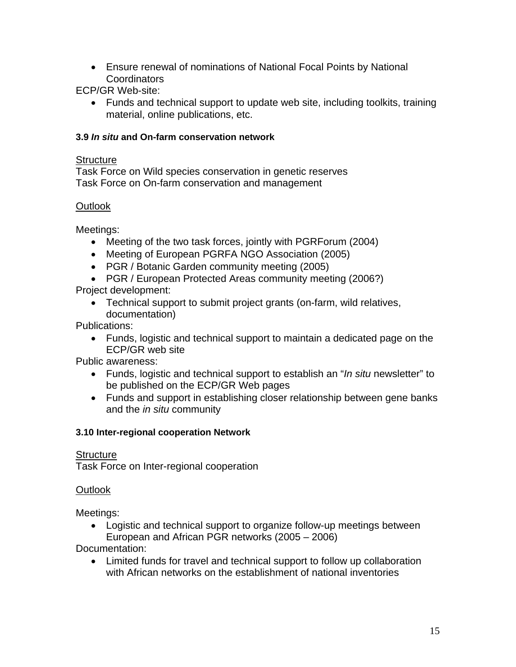• Ensure renewal of nominations of National Focal Points by National Coordinators

ECP/GR Web-site:

• Funds and technical support to update web site, including toolkits, training material, online publications, etc.

# **3.9** *In situ* **and On-farm conservation network**

# **Structure**

Task Force on Wild species conservation in genetic reserves Task Force on On-farm conservation and management

# **Outlook**

Meetings:

- Meeting of the two task forces, jointly with PGRForum (2004)
- Meeting of European PGRFA NGO Association (2005)
- PGR / Botanic Garden community meeting (2005)
- PGR / European Protected Areas community meeting (2006?)

Project development:

• Technical support to submit project grants (on-farm, wild relatives, documentation)

Publications:

• Funds, logistic and technical support to maintain a dedicated page on the ECP/GR web site

Public awareness:

- Funds, logistic and technical support to establish an "*In situ* newsletter" to be published on the ECP/GR Web pages
- Funds and support in establishing closer relationship between gene banks and the *in situ* community

## **3.10 Inter-regional cooperation Network**

# **Structure**

Task Force on Inter-regional cooperation

# Outlook

Meetings:

• Logistic and technical support to organize follow-up meetings between European and African PGR networks (2005 – 2006)

Documentation:

• Limited funds for travel and technical support to follow up collaboration with African networks on the establishment of national inventories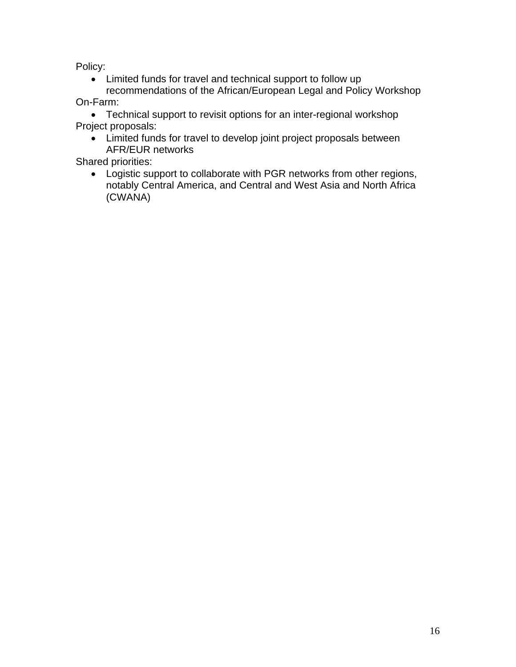Policy:

• Limited funds for travel and technical support to follow up

recommendations of the African/European Legal and Policy Workshop On-Farm:

• Technical support to revisit options for an inter-regional workshop Project proposals:

• Limited funds for travel to develop joint project proposals between AFR/EUR networks

Shared priorities:

• Logistic support to collaborate with PGR networks from other regions, notably Central America, and Central and West Asia and North Africa (CWANA)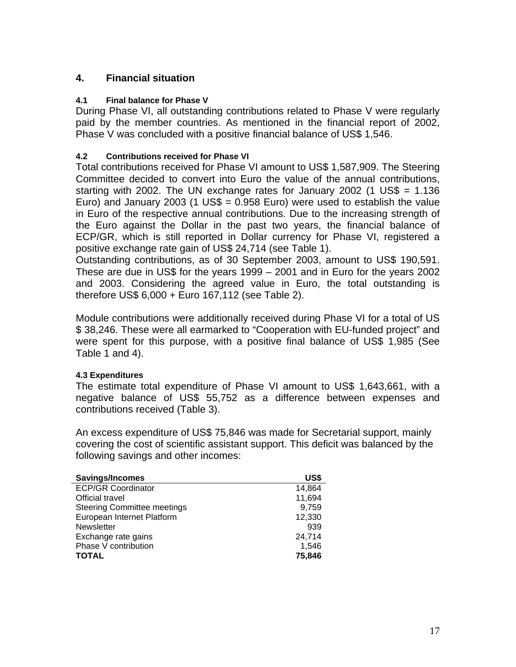# **4. Financial situation**

### **4.1 Final balance for Phase V**

During Phase VI, all outstanding contributions related to Phase V were regularly paid by the member countries. As mentioned in the financial report of 2002, Phase V was concluded with a positive financial balance of US\$ 1,546.

### **4.2 Contributions received for Phase VI**

Total contributions received for Phase VI amount to US\$ 1,587,909. The Steering Committee decided to convert into Euro the value of the annual contributions, starting with 2002. The UN exchange rates for January 2002 (1 US\$ =  $1.136$ ) Euro) and January 2003 (1 US\$ =  $0.958$  Euro) were used to establish the value in Euro of the respective annual contributions. Due to the increasing strength of the Euro against the Dollar in the past two years, the financial balance of ECP/GR, which is still reported in Dollar currency for Phase VI, registered a positive exchange rate gain of US\$ 24,714 (see Table 1).

Outstanding contributions, as of 30 September 2003, amount to US\$ 190,591. These are due in US\$ for the years 1999 – 2001 and in Euro for the years 2002 and 2003. Considering the agreed value in Euro, the total outstanding is therefore US\$ 6,000 + Euro 167,112 (see Table 2).

Module contributions were additionally received during Phase VI for a total of US \$ 38,246. These were all earmarked to "Cooperation with EU-funded project" and were spent for this purpose, with a positive final balance of US\$ 1,985 (See Table 1 and 4).

## **4.3 Expenditures**

The estimate total expenditure of Phase VI amount to US\$ 1,643,661, with a negative balance of US\$ 55,752 as a difference between expenses and contributions received (Table 3).

An excess expenditure of US\$ 75,846 was made for Secretarial support, mainly covering the cost of scientific assistant support. This deficit was balanced by the following savings and other incomes:

| Savings/Incomes                    | US\$   |
|------------------------------------|--------|
| <b>ECP/GR Coordinator</b>          | 14,864 |
| Official travel                    | 11,694 |
| <b>Steering Committee meetings</b> | 9,759  |
| European Internet Platform         | 12,330 |
| <b>Newsletter</b>                  | 939    |
| Exchange rate gains                | 24,714 |
| Phase V contribution               | 1,546  |
| <b>TOTAL</b>                       | 75,846 |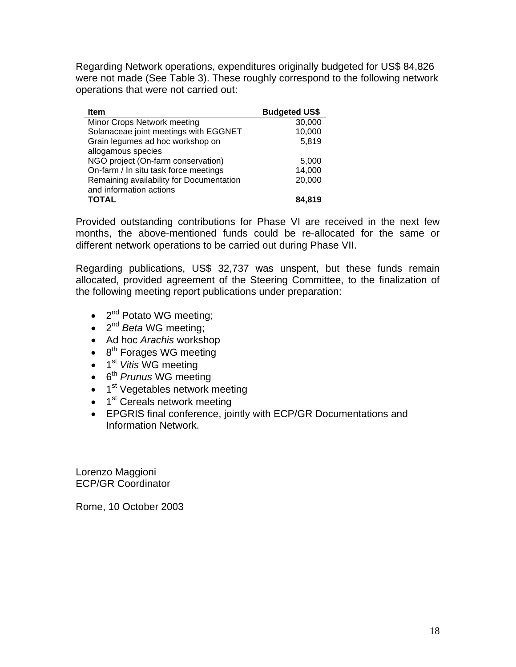Regarding Network operations, expenditures originally budgeted for US\$ 84,826 were not made (See Table 3). These roughly correspond to the following network operations that were not carried out:

| <b>Item</b>                              | <b>Budgeted US\$</b> |
|------------------------------------------|----------------------|
| Minor Crops Network meeting              | 30,000               |
| Solanaceae joint meetings with EGGNET    | 10,000               |
| Grain legumes ad hoc workshop on         | 5,819                |
| allogamous species                       |                      |
| NGO project (On-farm conservation)       | 5,000                |
| On-farm / In situ task force meetings    | 14,000               |
| Remaining availability for Documentation | 20,000               |
| and information actions                  |                      |
| <b>TOTAL</b>                             | 84.819               |

Provided outstanding contributions for Phase VI are received in the next few months, the above-mentioned funds could be re-allocated for the same or different network operations to be carried out during Phase VII.

Regarding publications, US\$ 32,737 was unspent, but these funds remain allocated, provided agreement of the Steering Committee, to the finalization of the following meeting report publications under preparation:

- $\bullet$  2<sup>nd</sup> Potato WG meeting;
- 2<sup>nd</sup> *Beta* WG meeting;
- Ad hoc *Arachis* workshop
- $\bullet$  8<sup>th</sup> Forages WG meeting
- 1<sup>st</sup> *Vitis* WG meeting
- 6th *Prunus* WG meeting
- $\bullet$  1<sup>st</sup> Vegetables network meeting
- $\bullet$  1<sup>st</sup> Cereals network meeting
- EPGRIS final conference, jointly with ECP/GR Documentations and Information Network.

Lorenzo Maggioni ECP/GR Coordinator

Rome, 10 October 2003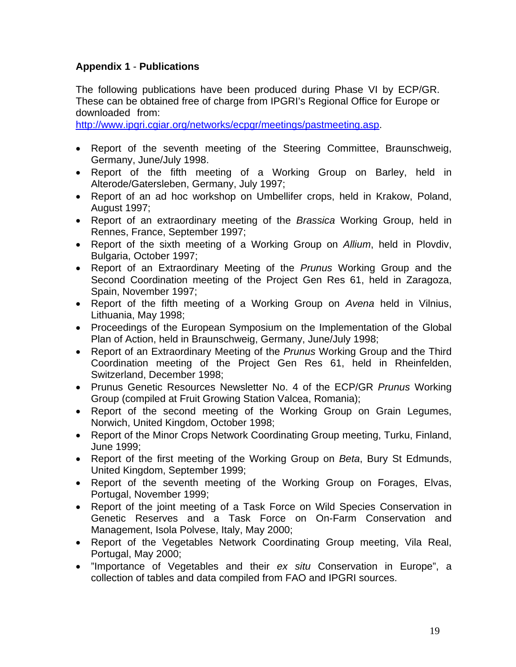# **Appendix 1** - **Publications**

The following publications have been produced during Phase VI by ECP/GR. These can be obtained free of charge from IPGRI's Regional Office for Europe or downloaded from: :

http://www.ipgri.cgiar.org/networks/ecpgr/meetings/pastmeeting.asp.

- Report of the seventh meeting of the Steering Committee, Braunschweig, Germany, June/July 1998.
- Report of the fifth meeting of a Working Group on Barley, held in Alterode/Gatersleben, Germany, July 1997;
- Report of an ad hoc workshop on Umbellifer crops, held in Krakow, Poland, August 1997;
- Report of an extraordinary meeting of the *Brassica* Working Group, held in Rennes, France, September 1997;
- Report of the sixth meeting of a Working Group on *Allium*, held in Plovdiv, Bulgaria, October 1997;
- Report of an Extraordinary Meeting of the *Prunus* Working Group and the Second Coordination meeting of the Project Gen Res 61, held in Zaragoza, Spain, November 1997;
- Report of the fifth meeting of a Working Group on *Avena* held in Vilnius, Lithuania, May 1998;
- Proceedings of the European Symposium on the Implementation of the Global Plan of Action, held in Braunschweig, Germany, June/July 1998;
- Report of an Extraordinary Meeting of the *Prunus* Working Group and the Third Coordination meeting of the Project Gen Res 61, held in Rheinfelden, Switzerland, December 1998;
- Prunus Genetic Resources Newsletter No. 4 of the ECP/GR *Prunus* Working Group (compiled at Fruit Growing Station Valcea, Romania);
- Report of the second meeting of the Working Group on Grain Legumes, Norwich, United Kingdom, October 1998;
- Report of the Minor Crops Network Coordinating Group meeting, Turku, Finland, June 1999;
- Report of the first meeting of the Working Group on *Beta*, Bury St Edmunds, United Kingdom, September 1999;
- Report of the seventh meeting of the Working Group on Forages, Elvas, Portugal, November 1999;
- Report of the joint meeting of a Task Force on Wild Species Conservation in Genetic Reserves and a Task Force on On-Farm Conservation and Management, Isola Polvese, Italy, May 2000;
- Report of the Vegetables Network Coordinating Group meeting, Vila Real, Portugal, May 2000;
- "Importance of Vegetables and their *ex situ* Conservation in Europe", a collection of tables and data compiled from FAO and IPGRI sources.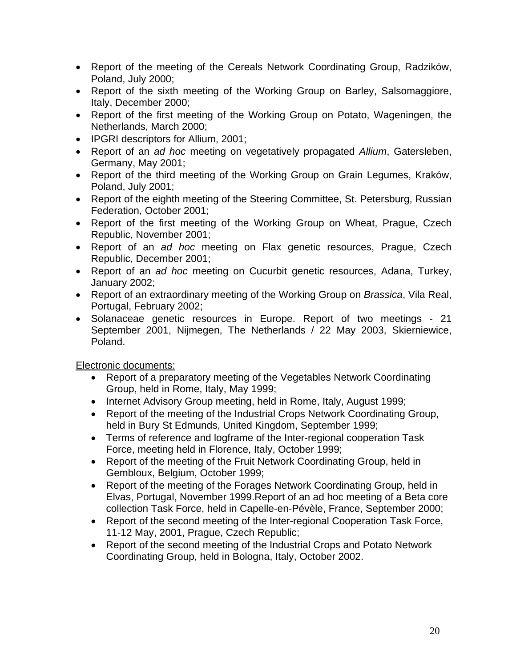- Report of the meeting of the Cereals Network Coordinating Group, Radzików, Poland, July 2000;
- Report of the sixth meeting of the Working Group on Barley, Salsomaggiore, Italy, December 2000;
- Report of the first meeting of the Working Group on Potato, Wageningen, the Netherlands, March 2000;
- IPGRI descriptors for Allium, 2001;
- Report of an *ad hoc* meeting on vegetatively propagated *Allium*, Gatersleben, Germany, May 2001;
- Report of the third meeting of the Working Group on Grain Legumes, Kraków, Poland, July 2001;
- Report of the eighth meeting of the Steering Committee, St. Petersburg, Russian Federation, October 2001;
- Report of the first meeting of the Working Group on Wheat, Prague, Czech Republic, November 2001;
- Report of an *ad hoc* meeting on Flax genetic resources, Prague, Czech Republic, December 2001;
- Report of an *ad hoc* meeting on Cucurbit genetic resources, Adana, Turkey, January 2002;
- Report of an extraordinary meeting of the Working Group on *Brassica*, Vila Real, Portugal, February 2002;
- Solanaceae genetic resources in Europe. Report of two meetings 21 September 2001, Nijmegen, The Netherlands / 22 May 2003, Skierniewice, Poland.

Electronic documents:

- Report of a preparatory meeting of the Vegetables Network Coordinating Group, held in Rome, Italy, May 1999;
- Internet Advisory Group meeting, held in Rome, Italy, August 1999;
- Report of the meeting of the Industrial Crops Network Coordinating Group, held in Bury St Edmunds, United Kingdom, September 1999;
- Terms of reference and logframe of the Inter-regional cooperation Task Force, meeting held in Florence, Italy, October 1999;
- Report of the meeting of the Fruit Network Coordinating Group, held in Gembloux, Belgium, October 1999;
- Report of the meeting of the Forages Network Coordinating Group, held in Elvas, Portugal, November 1999.Report of an ad hoc meeting of a Beta core collection Task Force, held in Capelle-en-Pévèle, France, September 2000;
- Report of the second meeting of the Inter-regional Cooperation Task Force, 11-12 May, 2001, Prague, Czech Republic;
- Report of the second meeting of the Industrial Crops and Potato Network Coordinating Group, held in Bologna, Italy, October 2002.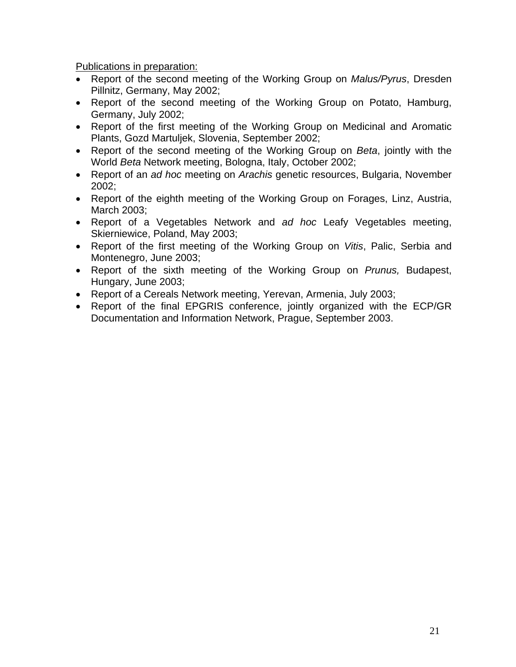Publications in preparation:

- Report of the second meeting of the Working Group on *Malus/Pyrus*, Dresden Pillnitz, Germany, May 2002;
- Report of the second meeting of the Working Group on Potato, Hamburg, Germany, July 2002;
- Report of the first meeting of the Working Group on Medicinal and Aromatic Plants, Gozd Martuljek, Slovenia, September 2002;
- Report of the second meeting of the Working Group on *Beta*, jointly with the World *Beta* Network meeting, Bologna, Italy, October 2002;
- Report of an *ad hoc* meeting on *Arachis* genetic resources, Bulgaria, November 2002;
- Report of the eighth meeting of the Working Group on Forages, Linz, Austria, March 2003;
- Report of a Vegetables Network and *ad hoc* Leafy Vegetables meeting, Skierniewice, Poland, May 2003;
- Report of the first meeting of the Working Group on *Vitis*, Palic, Serbia and Montenegro, June 2003;
- Report of the sixth meeting of the Working Group on *Prunus,* Budapest, Hungary, June 2003;
- Report of a Cereals Network meeting, Yerevan, Armenia, July 2003;
- Report of the final EPGRIS conference, jointly organized with the ECP/GR Documentation and Information Network, Prague, September 2003.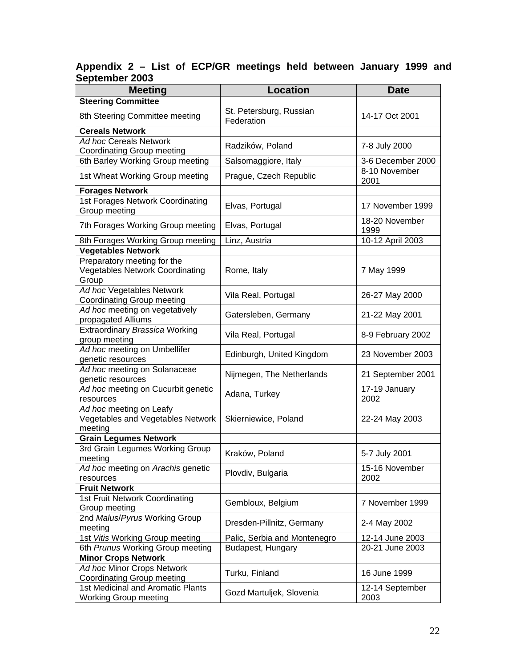### **Appendix 2 – List of ECP/GR meetings held between January 1999 and September 2003**

| <b>Steering Committee</b><br>St. Petersburg, Russian<br>8th Steering Committee meeting<br>14-17 Oct 2001<br>Federation<br><b>Cereals Network</b><br>Ad hoc Cereals Network<br>7-8 July 2000<br>Radzików, Poland<br>Coordinating Group meeting<br>6th Barley Working Group meeting<br>3-6 December 2000<br>Salsomaggiore, Italy<br>8-10 November<br>1st Wheat Working Group meeting<br>Prague, Czech Republic<br>2001<br><b>Forages Network</b><br>1st Forages Network Coordinating<br>Elvas, Portugal<br>17 November 1999<br>Group meeting<br>18-20 November<br>7th Forages Working Group meeting<br>Elvas, Portugal<br>1999<br>10-12 April 2003<br>Linz, Austria<br>8th Forages Working Group meeting<br><b>Vegetables Network</b><br>Preparatory meeting for the<br><b>Vegetables Network Coordinating</b><br>Rome, Italy<br>7 May 1999<br>Group<br>Ad hoc Vegetables Network<br>Vila Real, Portugal<br>26-27 May 2000<br>Coordinating Group meeting<br>Ad hoc meeting on vegetatively<br>Gatersleben, Germany<br>21-22 May 2001<br>propagated Alliums<br>Extraordinary Brassica Working<br>Vila Real, Portugal<br>8-9 February 2002<br>group meeting<br>Ad hoc meeting on Umbellifer<br>23 November 2003<br>Edinburgh, United Kingdom<br>genetic resources<br>Ad hoc meeting on Solanaceae<br>Nijmegen, The Netherlands<br>21 September 2001<br>genetic resources<br>Ad hoc meeting on Cucurbit genetic<br>17-19 January<br>Adana, Turkey<br>2002<br>resources<br>Ad hoc meeting on Leafy<br>Vegetables and Vegetables Network<br>Skierniewice, Poland<br>22-24 May 2003<br>meeting<br><b>Grain Legumes Network</b><br>3rd Grain Legumes Working Group<br>Kraków, Poland<br>5-7 July 2001<br>meeting<br>15-16 November<br>Ad hoc meeting on Arachis genetic<br>Plovdiv, Bulgaria<br>2002<br>resources<br><b>Fruit Network</b><br>1st Fruit Network Coordinating<br>Gembloux, Belgium<br>7 November 1999<br>Group meeting<br>2nd Malus/Pyrus Working Group<br>Dresden-Pillnitz, Germany<br>2-4 May 2002<br>meeting<br>1st Vitis Working Group meeting<br>Palic, Serbia and Montenegro<br>12-14 June 2003<br>6th Prunus Working Group meeting<br>20-21 June 2003<br>Budapest, Hungary<br><b>Minor Crops Network</b><br>Ad hoc Minor Crops Network<br>Turku, Finland<br>16 June 1999<br><b>Coordinating Group meeting</b><br>1st Medicinal and Aromatic Plants<br>12-14 September<br>Gozd Martuljek, Slovenia<br><b>Working Group meeting</b><br>2003 | <b>Meeting</b> | <b>Location</b> | <b>Date</b> |
|-------------------------------------------------------------------------------------------------------------------------------------------------------------------------------------------------------------------------------------------------------------------------------------------------------------------------------------------------------------------------------------------------------------------------------------------------------------------------------------------------------------------------------------------------------------------------------------------------------------------------------------------------------------------------------------------------------------------------------------------------------------------------------------------------------------------------------------------------------------------------------------------------------------------------------------------------------------------------------------------------------------------------------------------------------------------------------------------------------------------------------------------------------------------------------------------------------------------------------------------------------------------------------------------------------------------------------------------------------------------------------------------------------------------------------------------------------------------------------------------------------------------------------------------------------------------------------------------------------------------------------------------------------------------------------------------------------------------------------------------------------------------------------------------------------------------------------------------------------------------------------------------------------------------------------------------------------------------------------------------------------------------------------------------------------------------------------------------------------------------------------------------------------------------------------------------------------------------------------------------------------------------------------------------------------------------------------------------------------------------------------------------------------------------------------------------------------|----------------|-----------------|-------------|
|                                                                                                                                                                                                                                                                                                                                                                                                                                                                                                                                                                                                                                                                                                                                                                                                                                                                                                                                                                                                                                                                                                                                                                                                                                                                                                                                                                                                                                                                                                                                                                                                                                                                                                                                                                                                                                                                                                                                                                                                                                                                                                                                                                                                                                                                                                                                                                                                                                                       |                |                 |             |
|                                                                                                                                                                                                                                                                                                                                                                                                                                                                                                                                                                                                                                                                                                                                                                                                                                                                                                                                                                                                                                                                                                                                                                                                                                                                                                                                                                                                                                                                                                                                                                                                                                                                                                                                                                                                                                                                                                                                                                                                                                                                                                                                                                                                                                                                                                                                                                                                                                                       |                |                 |             |
|                                                                                                                                                                                                                                                                                                                                                                                                                                                                                                                                                                                                                                                                                                                                                                                                                                                                                                                                                                                                                                                                                                                                                                                                                                                                                                                                                                                                                                                                                                                                                                                                                                                                                                                                                                                                                                                                                                                                                                                                                                                                                                                                                                                                                                                                                                                                                                                                                                                       |                |                 |             |
|                                                                                                                                                                                                                                                                                                                                                                                                                                                                                                                                                                                                                                                                                                                                                                                                                                                                                                                                                                                                                                                                                                                                                                                                                                                                                                                                                                                                                                                                                                                                                                                                                                                                                                                                                                                                                                                                                                                                                                                                                                                                                                                                                                                                                                                                                                                                                                                                                                                       |                |                 |             |
|                                                                                                                                                                                                                                                                                                                                                                                                                                                                                                                                                                                                                                                                                                                                                                                                                                                                                                                                                                                                                                                                                                                                                                                                                                                                                                                                                                                                                                                                                                                                                                                                                                                                                                                                                                                                                                                                                                                                                                                                                                                                                                                                                                                                                                                                                                                                                                                                                                                       |                |                 |             |
|                                                                                                                                                                                                                                                                                                                                                                                                                                                                                                                                                                                                                                                                                                                                                                                                                                                                                                                                                                                                                                                                                                                                                                                                                                                                                                                                                                                                                                                                                                                                                                                                                                                                                                                                                                                                                                                                                                                                                                                                                                                                                                                                                                                                                                                                                                                                                                                                                                                       |                |                 |             |
|                                                                                                                                                                                                                                                                                                                                                                                                                                                                                                                                                                                                                                                                                                                                                                                                                                                                                                                                                                                                                                                                                                                                                                                                                                                                                                                                                                                                                                                                                                                                                                                                                                                                                                                                                                                                                                                                                                                                                                                                                                                                                                                                                                                                                                                                                                                                                                                                                                                       |                |                 |             |
|                                                                                                                                                                                                                                                                                                                                                                                                                                                                                                                                                                                                                                                                                                                                                                                                                                                                                                                                                                                                                                                                                                                                                                                                                                                                                                                                                                                                                                                                                                                                                                                                                                                                                                                                                                                                                                                                                                                                                                                                                                                                                                                                                                                                                                                                                                                                                                                                                                                       |                |                 |             |
|                                                                                                                                                                                                                                                                                                                                                                                                                                                                                                                                                                                                                                                                                                                                                                                                                                                                                                                                                                                                                                                                                                                                                                                                                                                                                                                                                                                                                                                                                                                                                                                                                                                                                                                                                                                                                                                                                                                                                                                                                                                                                                                                                                                                                                                                                                                                                                                                                                                       |                |                 |             |
|                                                                                                                                                                                                                                                                                                                                                                                                                                                                                                                                                                                                                                                                                                                                                                                                                                                                                                                                                                                                                                                                                                                                                                                                                                                                                                                                                                                                                                                                                                                                                                                                                                                                                                                                                                                                                                                                                                                                                                                                                                                                                                                                                                                                                                                                                                                                                                                                                                                       |                |                 |             |
|                                                                                                                                                                                                                                                                                                                                                                                                                                                                                                                                                                                                                                                                                                                                                                                                                                                                                                                                                                                                                                                                                                                                                                                                                                                                                                                                                                                                                                                                                                                                                                                                                                                                                                                                                                                                                                                                                                                                                                                                                                                                                                                                                                                                                                                                                                                                                                                                                                                       |                |                 |             |
|                                                                                                                                                                                                                                                                                                                                                                                                                                                                                                                                                                                                                                                                                                                                                                                                                                                                                                                                                                                                                                                                                                                                                                                                                                                                                                                                                                                                                                                                                                                                                                                                                                                                                                                                                                                                                                                                                                                                                                                                                                                                                                                                                                                                                                                                                                                                                                                                                                                       |                |                 |             |
|                                                                                                                                                                                                                                                                                                                                                                                                                                                                                                                                                                                                                                                                                                                                                                                                                                                                                                                                                                                                                                                                                                                                                                                                                                                                                                                                                                                                                                                                                                                                                                                                                                                                                                                                                                                                                                                                                                                                                                                                                                                                                                                                                                                                                                                                                                                                                                                                                                                       |                |                 |             |
|                                                                                                                                                                                                                                                                                                                                                                                                                                                                                                                                                                                                                                                                                                                                                                                                                                                                                                                                                                                                                                                                                                                                                                                                                                                                                                                                                                                                                                                                                                                                                                                                                                                                                                                                                                                                                                                                                                                                                                                                                                                                                                                                                                                                                                                                                                                                                                                                                                                       |                |                 |             |
|                                                                                                                                                                                                                                                                                                                                                                                                                                                                                                                                                                                                                                                                                                                                                                                                                                                                                                                                                                                                                                                                                                                                                                                                                                                                                                                                                                                                                                                                                                                                                                                                                                                                                                                                                                                                                                                                                                                                                                                                                                                                                                                                                                                                                                                                                                                                                                                                                                                       |                |                 |             |
|                                                                                                                                                                                                                                                                                                                                                                                                                                                                                                                                                                                                                                                                                                                                                                                                                                                                                                                                                                                                                                                                                                                                                                                                                                                                                                                                                                                                                                                                                                                                                                                                                                                                                                                                                                                                                                                                                                                                                                                                                                                                                                                                                                                                                                                                                                                                                                                                                                                       |                |                 |             |
|                                                                                                                                                                                                                                                                                                                                                                                                                                                                                                                                                                                                                                                                                                                                                                                                                                                                                                                                                                                                                                                                                                                                                                                                                                                                                                                                                                                                                                                                                                                                                                                                                                                                                                                                                                                                                                                                                                                                                                                                                                                                                                                                                                                                                                                                                                                                                                                                                                                       |                |                 |             |
|                                                                                                                                                                                                                                                                                                                                                                                                                                                                                                                                                                                                                                                                                                                                                                                                                                                                                                                                                                                                                                                                                                                                                                                                                                                                                                                                                                                                                                                                                                                                                                                                                                                                                                                                                                                                                                                                                                                                                                                                                                                                                                                                                                                                                                                                                                                                                                                                                                                       |                |                 |             |
|                                                                                                                                                                                                                                                                                                                                                                                                                                                                                                                                                                                                                                                                                                                                                                                                                                                                                                                                                                                                                                                                                                                                                                                                                                                                                                                                                                                                                                                                                                                                                                                                                                                                                                                                                                                                                                                                                                                                                                                                                                                                                                                                                                                                                                                                                                                                                                                                                                                       |                |                 |             |
|                                                                                                                                                                                                                                                                                                                                                                                                                                                                                                                                                                                                                                                                                                                                                                                                                                                                                                                                                                                                                                                                                                                                                                                                                                                                                                                                                                                                                                                                                                                                                                                                                                                                                                                                                                                                                                                                                                                                                                                                                                                                                                                                                                                                                                                                                                                                                                                                                                                       |                |                 |             |
|                                                                                                                                                                                                                                                                                                                                                                                                                                                                                                                                                                                                                                                                                                                                                                                                                                                                                                                                                                                                                                                                                                                                                                                                                                                                                                                                                                                                                                                                                                                                                                                                                                                                                                                                                                                                                                                                                                                                                                                                                                                                                                                                                                                                                                                                                                                                                                                                                                                       |                |                 |             |
|                                                                                                                                                                                                                                                                                                                                                                                                                                                                                                                                                                                                                                                                                                                                                                                                                                                                                                                                                                                                                                                                                                                                                                                                                                                                                                                                                                                                                                                                                                                                                                                                                                                                                                                                                                                                                                                                                                                                                                                                                                                                                                                                                                                                                                                                                                                                                                                                                                                       |                |                 |             |
|                                                                                                                                                                                                                                                                                                                                                                                                                                                                                                                                                                                                                                                                                                                                                                                                                                                                                                                                                                                                                                                                                                                                                                                                                                                                                                                                                                                                                                                                                                                                                                                                                                                                                                                                                                                                                                                                                                                                                                                                                                                                                                                                                                                                                                                                                                                                                                                                                                                       |                |                 |             |
|                                                                                                                                                                                                                                                                                                                                                                                                                                                                                                                                                                                                                                                                                                                                                                                                                                                                                                                                                                                                                                                                                                                                                                                                                                                                                                                                                                                                                                                                                                                                                                                                                                                                                                                                                                                                                                                                                                                                                                                                                                                                                                                                                                                                                                                                                                                                                                                                                                                       |                |                 |             |
|                                                                                                                                                                                                                                                                                                                                                                                                                                                                                                                                                                                                                                                                                                                                                                                                                                                                                                                                                                                                                                                                                                                                                                                                                                                                                                                                                                                                                                                                                                                                                                                                                                                                                                                                                                                                                                                                                                                                                                                                                                                                                                                                                                                                                                                                                                                                                                                                                                                       |                |                 |             |
|                                                                                                                                                                                                                                                                                                                                                                                                                                                                                                                                                                                                                                                                                                                                                                                                                                                                                                                                                                                                                                                                                                                                                                                                                                                                                                                                                                                                                                                                                                                                                                                                                                                                                                                                                                                                                                                                                                                                                                                                                                                                                                                                                                                                                                                                                                                                                                                                                                                       |                |                 |             |
|                                                                                                                                                                                                                                                                                                                                                                                                                                                                                                                                                                                                                                                                                                                                                                                                                                                                                                                                                                                                                                                                                                                                                                                                                                                                                                                                                                                                                                                                                                                                                                                                                                                                                                                                                                                                                                                                                                                                                                                                                                                                                                                                                                                                                                                                                                                                                                                                                                                       |                |                 |             |
|                                                                                                                                                                                                                                                                                                                                                                                                                                                                                                                                                                                                                                                                                                                                                                                                                                                                                                                                                                                                                                                                                                                                                                                                                                                                                                                                                                                                                                                                                                                                                                                                                                                                                                                                                                                                                                                                                                                                                                                                                                                                                                                                                                                                                                                                                                                                                                                                                                                       |                |                 |             |
|                                                                                                                                                                                                                                                                                                                                                                                                                                                                                                                                                                                                                                                                                                                                                                                                                                                                                                                                                                                                                                                                                                                                                                                                                                                                                                                                                                                                                                                                                                                                                                                                                                                                                                                                                                                                                                                                                                                                                                                                                                                                                                                                                                                                                                                                                                                                                                                                                                                       |                |                 |             |
|                                                                                                                                                                                                                                                                                                                                                                                                                                                                                                                                                                                                                                                                                                                                                                                                                                                                                                                                                                                                                                                                                                                                                                                                                                                                                                                                                                                                                                                                                                                                                                                                                                                                                                                                                                                                                                                                                                                                                                                                                                                                                                                                                                                                                                                                                                                                                                                                                                                       |                |                 |             |
|                                                                                                                                                                                                                                                                                                                                                                                                                                                                                                                                                                                                                                                                                                                                                                                                                                                                                                                                                                                                                                                                                                                                                                                                                                                                                                                                                                                                                                                                                                                                                                                                                                                                                                                                                                                                                                                                                                                                                                                                                                                                                                                                                                                                                                                                                                                                                                                                                                                       |                |                 |             |
|                                                                                                                                                                                                                                                                                                                                                                                                                                                                                                                                                                                                                                                                                                                                                                                                                                                                                                                                                                                                                                                                                                                                                                                                                                                                                                                                                                                                                                                                                                                                                                                                                                                                                                                                                                                                                                                                                                                                                                                                                                                                                                                                                                                                                                                                                                                                                                                                                                                       |                |                 |             |
|                                                                                                                                                                                                                                                                                                                                                                                                                                                                                                                                                                                                                                                                                                                                                                                                                                                                                                                                                                                                                                                                                                                                                                                                                                                                                                                                                                                                                                                                                                                                                                                                                                                                                                                                                                                                                                                                                                                                                                                                                                                                                                                                                                                                                                                                                                                                                                                                                                                       |                |                 |             |
|                                                                                                                                                                                                                                                                                                                                                                                                                                                                                                                                                                                                                                                                                                                                                                                                                                                                                                                                                                                                                                                                                                                                                                                                                                                                                                                                                                                                                                                                                                                                                                                                                                                                                                                                                                                                                                                                                                                                                                                                                                                                                                                                                                                                                                                                                                                                                                                                                                                       |                |                 |             |
|                                                                                                                                                                                                                                                                                                                                                                                                                                                                                                                                                                                                                                                                                                                                                                                                                                                                                                                                                                                                                                                                                                                                                                                                                                                                                                                                                                                                                                                                                                                                                                                                                                                                                                                                                                                                                                                                                                                                                                                                                                                                                                                                                                                                                                                                                                                                                                                                                                                       |                |                 |             |
|                                                                                                                                                                                                                                                                                                                                                                                                                                                                                                                                                                                                                                                                                                                                                                                                                                                                                                                                                                                                                                                                                                                                                                                                                                                                                                                                                                                                                                                                                                                                                                                                                                                                                                                                                                                                                                                                                                                                                                                                                                                                                                                                                                                                                                                                                                                                                                                                                                                       |                |                 |             |
|                                                                                                                                                                                                                                                                                                                                                                                                                                                                                                                                                                                                                                                                                                                                                                                                                                                                                                                                                                                                                                                                                                                                                                                                                                                                                                                                                                                                                                                                                                                                                                                                                                                                                                                                                                                                                                                                                                                                                                                                                                                                                                                                                                                                                                                                                                                                                                                                                                                       |                |                 |             |
|                                                                                                                                                                                                                                                                                                                                                                                                                                                                                                                                                                                                                                                                                                                                                                                                                                                                                                                                                                                                                                                                                                                                                                                                                                                                                                                                                                                                                                                                                                                                                                                                                                                                                                                                                                                                                                                                                                                                                                                                                                                                                                                                                                                                                                                                                                                                                                                                                                                       |                |                 |             |
|                                                                                                                                                                                                                                                                                                                                                                                                                                                                                                                                                                                                                                                                                                                                                                                                                                                                                                                                                                                                                                                                                                                                                                                                                                                                                                                                                                                                                                                                                                                                                                                                                                                                                                                                                                                                                                                                                                                                                                                                                                                                                                                                                                                                                                                                                                                                                                                                                                                       |                |                 |             |
|                                                                                                                                                                                                                                                                                                                                                                                                                                                                                                                                                                                                                                                                                                                                                                                                                                                                                                                                                                                                                                                                                                                                                                                                                                                                                                                                                                                                                                                                                                                                                                                                                                                                                                                                                                                                                                                                                                                                                                                                                                                                                                                                                                                                                                                                                                                                                                                                                                                       |                |                 |             |
|                                                                                                                                                                                                                                                                                                                                                                                                                                                                                                                                                                                                                                                                                                                                                                                                                                                                                                                                                                                                                                                                                                                                                                                                                                                                                                                                                                                                                                                                                                                                                                                                                                                                                                                                                                                                                                                                                                                                                                                                                                                                                                                                                                                                                                                                                                                                                                                                                                                       |                |                 |             |
|                                                                                                                                                                                                                                                                                                                                                                                                                                                                                                                                                                                                                                                                                                                                                                                                                                                                                                                                                                                                                                                                                                                                                                                                                                                                                                                                                                                                                                                                                                                                                                                                                                                                                                                                                                                                                                                                                                                                                                                                                                                                                                                                                                                                                                                                                                                                                                                                                                                       |                |                 |             |
|                                                                                                                                                                                                                                                                                                                                                                                                                                                                                                                                                                                                                                                                                                                                                                                                                                                                                                                                                                                                                                                                                                                                                                                                                                                                                                                                                                                                                                                                                                                                                                                                                                                                                                                                                                                                                                                                                                                                                                                                                                                                                                                                                                                                                                                                                                                                                                                                                                                       |                |                 |             |